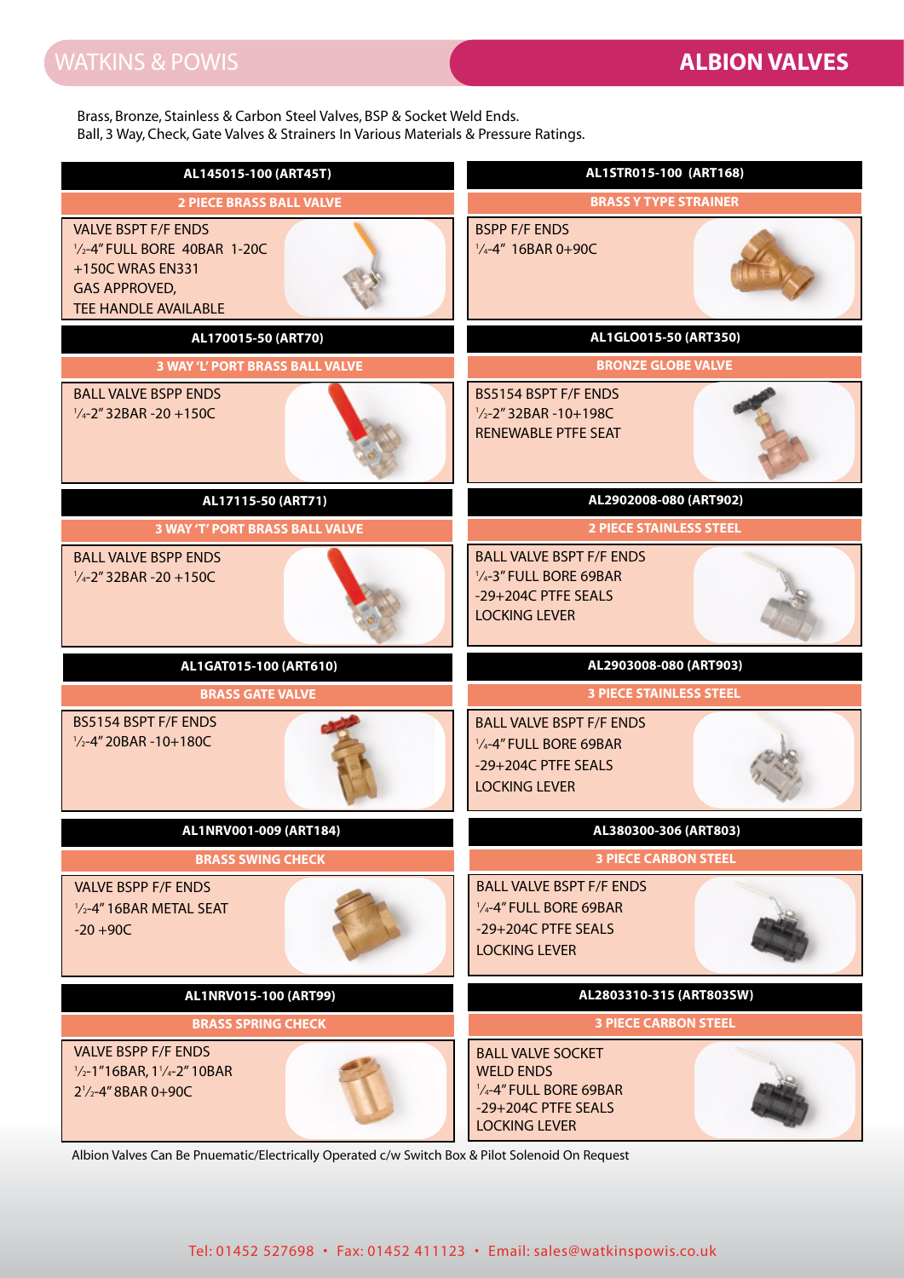Brass, Bronze, Stainless & Carbon Steel Valves, BSP & Socket Weld Ends. Ball, 3 Way, Check, Gate Valves & Strainers In Various Materials & Pressure Ratings.

| Ball, 3 Way, Check, Gate Valves & Strainers In Various Materials & Pressure Ratings.                                                                                                                                               |                                                                                                                       |
|------------------------------------------------------------------------------------------------------------------------------------------------------------------------------------------------------------------------------------|-----------------------------------------------------------------------------------------------------------------------|
| AL145015-100 (ART45T)                                                                                                                                                                                                              | AL1STR015-100 (ART168)                                                                                                |
| <b>2 PIECE BRASS BALL VALVE</b>                                                                                                                                                                                                    | <b>BRASS Y TYPE STRAINER</b>                                                                                          |
| <b>VALVE BSPT F/F ENDS</b><br>1/2-4" FULL BORE 40BAR 1-20C<br>+150C WRAS EN331<br><b>GAS APPROVED,</b><br><b>TEE HANDLE AVAILABLE</b>                                                                                              | <b>BSPP F/F ENDS</b><br>$\frac{1}{4}$ -4" 16BAR 0+90C                                                                 |
| AL170015-50 (ART70)                                                                                                                                                                                                                | AL1GLO015-50 (ART350)                                                                                                 |
| <b>3 WAY 'L' PORT BRASS BALL VALVE</b>                                                                                                                                                                                             | <b>BRONZE GLOBE VALVE</b>                                                                                             |
| <b>BALL VALVE BSPP ENDS</b><br>$\frac{1}{4}$ -2" 32BAR -20 +150C                                                                                                                                                                   | BS5154 BSPT F/F ENDS<br>$\frac{1}{2}$ -2" 32BAR -10+198C<br><b>RENEWABLE PTFE SEAT</b>                                |
| AL17115-50 (ART71)                                                                                                                                                                                                                 | AL2902008-080 (ART902)                                                                                                |
| <b>3 WAY 'T' PORT BRASS BALL VALVE</b>                                                                                                                                                                                             | <b>2 PIECE STAINLESS STEEL</b>                                                                                        |
| <b>BALL VALVE BSPP ENDS</b><br>$\frac{1}{4}$ -2" 32BAR -20 +150C                                                                                                                                                                   | <b>BALL VALVE BSPT F/F ENDS</b><br>1/4-3" FULL BORE 69BAR<br>-29+204C PTFE SEALS<br><b>LOCKING LEVER</b>              |
|                                                                                                                                                                                                                                    |                                                                                                                       |
| AL1GAT015-100 (ART610)                                                                                                                                                                                                             | AL2903008-080 (ART903)                                                                                                |
| <b>BRASS GATE VALVE</b>                                                                                                                                                                                                            | <b>3 PIECE STAINLESS STEEL</b>                                                                                        |
| BS5154 BSPT F/F ENDS<br>$\frac{1}{2}$ -4" 20BAR -10+180C                                                                                                                                                                           | <b>BALL VALVE BSPT F/F ENDS</b><br>1/4-4" FULL BORE 69BAR<br>-29+204C PTFE SEALS<br><b>LOCKING LEVER</b>              |
| AL1NRV001-009 (ART184)                                                                                                                                                                                                             | AL380300-306 (ART803)                                                                                                 |
| <b>BRASS SWING CHECK</b>                                                                                                                                                                                                           | <b>3 PIECE CARBON STEEL</b>                                                                                           |
| <b>VALVE BSPP F/F ENDS</b><br>$\frac{1}{2}$ -4" 16BAR METAL SEAT<br>$-20 + 90C$                                                                                                                                                    | <b>BALL VALVE BSPT F/F ENDS</b><br>1/4-4" FULL BORE 69BAR<br>-29+204C PTFE SEALS<br><b>LOCKING LEVER</b>              |
| AL1NRV015-100 (ART99)                                                                                                                                                                                                              | AL2803310-315 (ART803SW)                                                                                              |
| <b>BRASS SPRING CHECK</b>                                                                                                                                                                                                          | <b>3 PIECE CARBON STEEL</b>                                                                                           |
| <b>VALVE BSPP F/F ENDS</b><br>$\frac{1}{2}$ -1"16BAR, 1 $\frac{1}{4}$ -2" 10BAR<br>2 <sup>1</sup> / <sub>2</sub> -4" 8BAR 0+90C<br>Albion Valves Can Be Pnuematic/Electrically Operated c/w Switch Box & Pilot Solenoid On Request | <b>BALL VALVE SOCKET</b><br><b>WELD ENDS</b><br>1/4-4" FULL BORE 69BAR<br>-29+204C PTFE SEALS<br><b>LOCKING LEVER</b> |